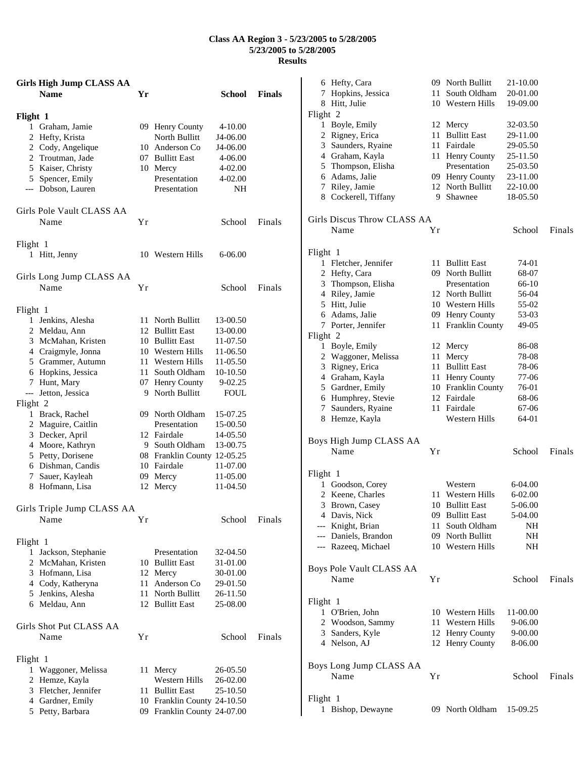## **Class AA Region 3 - 5/23/2005 to 5/28/2005 5/23/2005 to 5/28/2005 Results**

|          | <b>Girls High Jump CLASS AA</b><br><b>Name</b> | Үr   |                                 | School               | <b>Finals</b> |
|----------|------------------------------------------------|------|---------------------------------|----------------------|---------------|
| Flight 1 |                                                |      |                                 |                      |               |
|          | 1 Graham, Jamie                                |      | 09 Henry County                 | $4 - 10.00$          |               |
|          | 2 Hefty, Krista                                |      | North Bullitt                   | J4-06.00             |               |
|          | 2 Cody, Angelique                              |      | 10 Anderson Co                  | J4-06.00             |               |
|          | 2 Troutman, Jade                               |      | 07 Bullitt East                 | 4-06.00              |               |
|          | 5 Kaiser, Christy                              |      | 10 Mercy                        | 4-02.00              |               |
|          | 5 Spencer, Emily                               |      | Presentation                    | 4-02.00              |               |
|          | --- Dobson, Lauren                             |      | Presentation                    | NH                   |               |
|          | Girls Pole Vault CLASS AA                      |      |                                 |                      |               |
|          | Name                                           | Υr   |                                 | School               | Finals        |
| Flight 1 |                                                |      |                                 |                      |               |
|          | 1 Hitt, Jenny                                  |      | 10 Western Hills                | 6-06.00              |               |
|          | Girls Long Jump CLASS AA                       |      |                                 |                      |               |
|          | Name                                           | Υr   |                                 | School               | Finals        |
| Flight 1 |                                                |      |                                 |                      |               |
|          | 1 Jenkins, Alesha                              |      | 11 North Bullitt                | 13-00.50             |               |
|          | 2 Meldau, Ann                                  |      | 12 Bullitt East                 | 13-00.00             |               |
|          | 3 McMahan, Kristen                             |      | 10 Bullitt East                 | 11-07.50             |               |
|          | 4 Craigmyle, Jonna                             |      | 10 Western Hills                | 11-06.50             |               |
|          | 5 Grammer, Autumn                              |      | 11 Western Hills                | 11-05.50             |               |
|          | 6 Hopkins, Jessica                             |      | 11 South Oldham                 | 10-10.50             |               |
|          | 7 Hunt, Mary                                   |      | 07 Henry County                 | 9-02.25              |               |
| $---$    | Jetton, Jessica                                |      | 9 North Bullitt                 | <b>FOUL</b>          |               |
| Flight 2 |                                                |      |                                 |                      |               |
|          | 1 Brack, Rachel<br>2 Maguire, Caitlin          |      | 09 North Oldham<br>Presentation | 15-07.25<br>15-00.50 |               |
|          | 3 Decker, April                                |      | 12 Fairdale                     | 14-05.50             |               |
|          | 4 Moore, Kathryn                               |      | 9 South Oldham                  | 13-00.75             |               |
|          | 5 Petty, Dorisene                              |      | 08 Franklin County 12-05.25     |                      |               |
|          | 6 Dishman, Candis                              |      | 10 Fairdale                     | 11-07.00             |               |
|          | 7 Sauer, Kayleah                               |      | 09 Mercy                        | 11-05.00             |               |
|          | 8 Hofmann, Lisa                                | 12   | Mercy                           | 11-04.50             |               |
|          | Girls Triple Jump CLASS AA                     |      |                                 |                      |               |
|          | Name                                           | Υr   |                                 | School               | Finals        |
| Flight 1 |                                                |      |                                 |                      |               |
| 1        | Jackson, Stephanie                             |      | Presentation                    | 32-04.50             |               |
|          | 2 McMahan, Kristen                             |      | 10 Bullitt East                 | 31-01.00             |               |
|          | 3 Hofmann, Lisa                                |      | 12 Mercy                        | 30-01.00             |               |
|          | 4 Cody, Katheryna                              | 11 - | Anderson Co                     | 29-01.50             |               |
|          | 5 Jenkins, Alesha                              |      | 11 North Bullitt                | 26-11.50             |               |
|          | 6 Meldau, Ann                                  |      | 12 Bullitt East                 | 25-08.00             |               |
|          | Girls Shot Put CLASS AA                        |      |                                 |                      |               |
|          | Name                                           | Υr   |                                 | School               | Finals        |
| Flight 1 |                                                |      |                                 |                      |               |
|          | 1 Waggoner, Melissa                            | 11   | Mercy                           | 26-05.50             |               |
|          | 2 Hemze, Kayla                                 |      | Western Hills                   | 26-02.00             |               |
|          | 3 Fletcher, Jennifer                           |      | 11 Bullitt East                 | 25-10.50             |               |
|          | 4 Gardner, Emily                               |      | 10 Franklin County 24-10.50     |                      |               |
|          | 5 Petty, Barbara                               |      | 09 Franklin County 24-07.00     |                      |               |

|          | 6 Hefty, Cara                   |      | 09 North Bullitt    | 21-10.00 |        |  |
|----------|---------------------------------|------|---------------------|----------|--------|--|
|          | 7 Hopkins, Jessica              | 11   | South Oldham        | 20-01.00 |        |  |
|          | 8 Hitt, Julie                   |      | 10 Western Hills    | 19-09.00 |        |  |
| Flight 2 |                                 |      |                     |          |        |  |
|          | 1 Boyle, Emily                  |      | 12 Mercy            | 32-03.50 |        |  |
|          | 2 Rigney, Erica                 |      | 11 Bullitt East     | 29-11.00 |        |  |
|          | 3 Saunders, Ryaine              |      | 11 Fairdale         | 29-05.50 |        |  |
|          | 4 Graham, Kayla                 |      | 11 Henry County     | 25-11.50 |        |  |
|          | 5 Thompson, Elisha              |      | Presentation        | 25-03.50 |        |  |
|          | 6 Adams, Jalie                  |      | 09 Henry County     | 23-11.00 |        |  |
|          | 7 Riley, Jamie                  |      | 12 North Bullitt    | 22-10.00 |        |  |
|          | 8 Cockerell, Tiffany            |      | 9 Shawnee           | 18-05.50 |        |  |
|          | Girls Discus Throw CLASS AA     |      |                     |          |        |  |
|          | Name                            | Yr   |                     | School   | Finals |  |
|          |                                 |      |                     |          |        |  |
| Flight 1 |                                 |      |                     |          |        |  |
|          | 1 Fletcher, Jennifer            | 11 - | <b>Bullitt East</b> | 74-01    |        |  |
|          | 2 Hefty, Cara                   |      | 09 North Bullitt    | 68-07    |        |  |
|          | 3 Thompson, Elisha              |      | Presentation        | 66-10    |        |  |
|          | 4 Riley, Jamie                  |      | 12 North Bullitt    | 56-04    |        |  |
|          | 5 Hitt, Julie                   |      | 10 Western Hills    | 55-02    |        |  |
|          | 6 Adams, Jalie                  |      | 09 Henry County     | 53-03    |        |  |
|          | 7 Porter, Jennifer              | 11 - | Franklin County     | 49-05    |        |  |
| Flight 2 |                                 |      |                     |          |        |  |
|          | 1 Boyle, Emily                  |      | 12 Mercy            | 86-08    |        |  |
|          | 2 Waggoner, Melissa             |      | 11 Mercy            | 78-08    |        |  |
|          | 3 Rigney, Erica                 |      | 11 Bullitt East     | 78-06    |        |  |
|          | 4 Graham, Kayla                 |      | 11 Henry County     | 77-06    |        |  |
|          | 5 Gardner, Emily                |      | 10 Franklin County  | 76-01    |        |  |
|          | 6 Humphrey, Stevie              |      | 12 Fairdale         | 68-06    |        |  |
|          | 7 Saunders, Ryaine              |      | 11 Fairdale         | 67-06    |        |  |
|          | 8 Hemze, Kayla                  |      | Western Hills       | 64-01    |        |  |
|          |                                 |      |                     |          |        |  |
|          | Boys High Jump CLASS AA<br>Name |      |                     |          |        |  |
|          |                                 | Υr   |                     | School   | Finals |  |
| Flight 1 |                                 |      |                     |          |        |  |
|          | 1 Goodson, Corey                |      | Western             | 6-04.00  |        |  |
|          | 2 Keene, Charles                |      | 11 Western Hills    | 6-02.00  |        |  |
|          | 3 Brown, Casey                  |      | 10 Bullitt East     | 5-06.00  |        |  |
|          | 4 Davis, Nick                   |      | 09 Bullitt East     | 5-04.00  |        |  |
|          | --- Knight, Brian               | 11   | South Oldham        | NH.      |        |  |
|          | --- Daniels, Brandon            |      | 09 North Bullitt    | NH.      |        |  |
|          | --- Razeeq, Michael             |      | 10 Western Hills    | NH.      |        |  |
|          |                                 |      |                     |          |        |  |
|          | Boys Pole Vault CLASS AA        |      |                     |          |        |  |
|          | Name                            | Υr   |                     | School   | Finals |  |
|          |                                 |      |                     |          |        |  |
| Flight 1 |                                 |      |                     |          |        |  |
|          | 1 O'Brien, John                 |      | 10 Western Hills    | 11-00.00 |        |  |
|          | 2 Woodson, Sammy                |      | 11 Western Hills    | 9-06.00  |        |  |
|          | 3 Sanders, Kyle                 |      | 12 Henry County     | 9-00.00  |        |  |
|          | 4 Nelson, AJ                    |      | 12 Henry County     | 8-06.00  |        |  |
|          |                                 |      |                     |          |        |  |
|          | Boys Long Jump CLASS AA         |      |                     |          |        |  |
|          | Name                            | Υr   |                     | School   | Finals |  |
|          |                                 |      |                     |          |        |  |
| Flight 1 |                                 |      |                     |          |        |  |
|          | 1 Bishop, Dewayne               |      | 09 North Oldham     | 15-09.25 |        |  |
|          |                                 |      |                     |          |        |  |